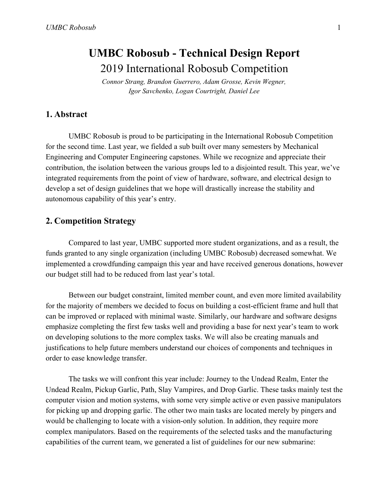# **UMBC Robosub - Technical Design Report** 2019 International Robosub Competition

*Connor Strang, Brandon Guerrero, Adam Grosse, Kevin Wegner, Igor Savchenko, Logan Courtright, Daniel Lee*

#### **1. Abstract**

UMBC Robosub is proud to be participating in the International Robosub Competition for the second time. Last year, we fielded a sub built over many semesters by Mechanical Engineering and Computer Engineering capstones. While we recognize and appreciate their contribution, the isolation between the various groups led to a disjointed result. This year, we've integrated requirements from the point of view of hardware, software, and electrical design to develop a set of design guidelines that we hope will drastically increase the stability and autonomous capability of this year's entry.

### **2. Competition Strategy**

Compared to last year, UMBC supported more student organizations, and as a result, the funds granted to any single organization (including UMBC Robosub) decreased somewhat. We implemented a crowdfunding campaign this year and have received generous donations, however our budget still had to be reduced from last year's total.

Between our budget constraint, limited member count, and even more limited availability for the majority of members we decided to focus on building a cost-efficient frame and hull that can be improved or replaced with minimal waste. Similarly, our hardware and software designs emphasize completing the first few tasks well and providing a base for next year's team to work on developing solutions to the more complex tasks. We will also be creating manuals and justifications to help future members understand our choices of components and techniques in order to ease knowledge transfer.

The tasks we will confront this year include: Journey to the Undead Realm, Enter the Undead Realm, Pickup Garlic, Path, Slay Vampires, and Drop Garlic. These tasks mainly test the computer vision and motion systems, with some very simple active or even passive manipulators for picking up and dropping garlic. The other two main tasks are located merely by pingers and would be challenging to locate with a vision-only solution. In addition, they require more complex manipulators. Based on the requirements of the selected tasks and the manufacturing capabilities of the current team, we generated a list of guidelines for our new submarine: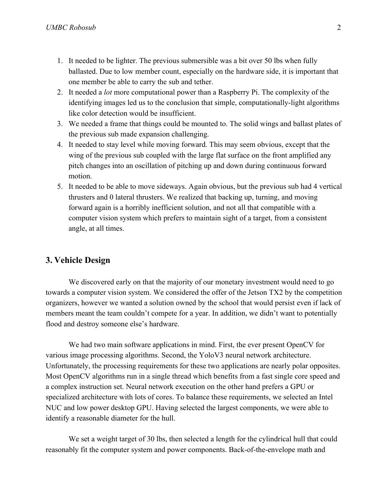- 1. It needed to be lighter. The previous submersible was a bit over 50 lbs when fully ballasted. Due to low member count, especially on the hardware side, it is important that one member be able to carry the sub and tether.
- 2. It needed a *lot* more computational power than a Raspberry Pi. The complexity of the identifying images led us to the conclusion that simple, computationally-light algorithms like color detection would be insufficient.
- 3. We needed a frame that things could be mounted to. The solid wings and ballast plates of the previous sub made expansion challenging.
- 4. It needed to stay level while moving forward. This may seem obvious, except that the wing of the previous sub coupled with the large flat surface on the front amplified any pitch changes into an oscillation of pitching up and down during continuous forward motion.
- 5. It needed to be able to move sideways. Again obvious, but the previous sub had 4 vertical thrusters and 0 lateral thrusters. We realized that backing up, turning, and moving forward again is a horribly inefficient solution, and not all that compatible with a computer vision system which prefers to maintain sight of a target, from a consistent angle, at all times.

#### **3. Vehicle Design**

We discovered early on that the majority of our monetary investment would need to go towards a computer vision system. We considered the offer of the Jetson TX2 by the competition organizers, however we wanted a solution owned by the school that would persist even if lack of members meant the team couldn't compete for a year. In addition, we didn't want to potentially flood and destroy someone else's hardware.

We had two main software applications in mind. First, the ever present OpenCV for various image processing algorithms. Second, the YoloV3 neural network architecture. Unfortunately, the processing requirements for these two applications are nearly polar opposites. Most OpenCV algorithms run in a single thread which benefits from a fast single core speed and a complex instruction set. Neural network execution on the other hand prefers a GPU or specialized architecture with lots of cores. To balance these requirements, we selected an Intel NUC and low power desktop GPU. Having selected the largest components, we were able to identify a reasonable diameter for the hull.

We set a weight target of 30 lbs, then selected a length for the cylindrical hull that could reasonably fit the computer system and power components. Back-of-the-envelope math and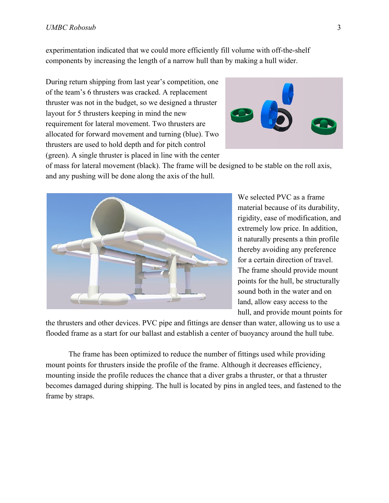experimentation indicated that we could more efficiently fill volume with off-the-shelf components by increasing the length of a narrow hull than by making a hull wider.

During return shipping from last year's competition, one of the team's 6 thrusters was cracked. A replacement thruster was not in the budget, so we designed a thruster layout for 5 thrusters keeping in mind the new requirement for lateral movement. Two thrusters are allocated for forward movement and turning (blue). Two thrusters are used to hold depth and for pitch control (green). A single thruster is placed in line with the center



of mass for lateral movement (black). The frame will be designed to be stable on the roll axis, and any pushing will be done along the axis of the hull.



We selected PVC as a frame material because of its durability, rigidity, ease of modification, and extremely low price. In addition, it naturally presents a thin profile thereby avoiding any preference for a certain direction of travel. The frame should provide mount points for the hull, be structurally sound both in the water and on land, allow easy access to the hull, and provide mount points for

the thrusters and other devices. PVC pipe and fittings are denser than water, allowing us to use a flooded frame as a start for our ballast and establish a center of buoyancy around the hull tube.

The frame has been optimized to reduce the number of fittings used while providing mount points for thrusters inside the profile of the frame. Although it decreases efficiency, mounting inside the profile reduces the chance that a diver grabs a thruster, or that a thruster becomes damaged during shipping. The hull is located by pins in angled tees, and fastened to the frame by straps.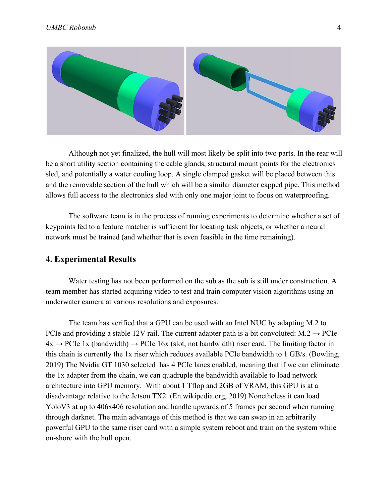

Although not yet finalized, the hull will most likely be split into two parts. In the rear will be a short utility section containing the cable glands, structural mount points for the electronics sled, and potentially a water cooling loop. A single clamped gasket will be placed between this and the removable section of the hull which will be a similar diameter capped pipe. This method allows full access to the electronics sled with only one major joint to focus on waterproofing.

The software team is in the process of running experiments to determine whether a set of keypoints fed to a feature matcher is sufficient for locating task objects, or whether a neural network must be trained (and whether that is even feasible in the time remaining).

#### **4. Experimental Results**

Water testing has not been performed on the sub as the sub is still under construction. A team member has started acquiring video to test and train computer vision algorithms using an underwater camera at various resolutions and exposures.

The team has verified that a GPU can be used with an Intel NUC by adapting M.2 to PCIe and providing a stable 12V rail. The current adapter path is a bit convoluted:  $M.2 \rightarrow PCE$  $4x \rightarrow PCIe$  1x (bandwidth)  $\rightarrow PCIe$  16x (slot, not bandwidth) riser card. The limiting factor in this chain is currently the 1x riser which reduces available PCIe bandwidth to 1 GB/s. (Bowling, 2019) The Nvidia GT 1030 selected has 4 PCIe lanes enabled, meaning that if we can eliminate the 1x adapter from the chain, we can quadruple the bandwidth available to load network architecture into GPU memory. With about 1 Tflop and 2GB of VRAM, this GPU is at a disadvantage relative to the Jetson TX2. (En.wikipedia.org, 2019) Nonetheless it can load YoloV3 at up to 406x406 resolution and handle upwards of 5 frames per second when running through darknet. The main advantage of this method is that we can swap in an arbitrarily powerful GPU to the same riser card with a simple system reboot and train on the system while on-shore with the hull open.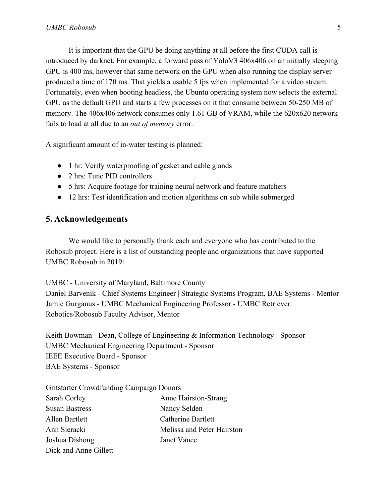It is important that the GPU be doing anything at all before the first CUDA call is introduced by darknet. For example, a forward pass of YoloV3 406x406 on an initially sleeping GPU is 400 ms, however that same network on the GPU when also running the display server produced a time of 170 ms. That yields a usable 5 fps when implemented for a video stream. Fortunately, even when booting headless, the Ubuntu operating system now selects the external GPU as the default GPU and starts a few processes on it that consume between 50-250 MB of memory. The 406x406 network consumes only 1.61 GB of VRAM, while the 620x620 network fails to load at all due to an *out of memory* error.

A significant amount of in-water testing is planned:

- 1 hr: Verify waterproofing of gasket and cable glands
- 2 hrs: Tune PID controllers
- 5 hrs: Acquire footage for training neural network and feature matchers
- 12 hrs: Test identification and motion algorithms on sub while submerged

### **5. Acknowledgements**

We would like to personally thank each and everyone who has contributed to the Robosub project. Here is a list of outstanding people and organizations that have supported UMBC Robosub in 2019:

UMBC - University of Maryland, Baltimore County

Daniel Barvenik - Chief Systems Engineer | Strategic Systems Program, BAE Systems - Mentor Jamie Gurganus - UMBC Mechanical Engineering Professor - UMBC Retriever Robotics/Robosub Faculty Advisor, Mentor

Keith Bowman - Dean, College of Engineering & Information Technology - Sponsor UMBC Mechanical Engineering Department - Sponsor IEEE Executive Board - Sponsor BAE Systems - Sponsor

| <b>Gritstarter Crowdfunding Campaign Donors</b> |  |  |
|-------------------------------------------------|--|--|
|                                                 |  |  |

| Sarah Corley          | Anne Hairston-Strang       |
|-----------------------|----------------------------|
| <b>Susan Bastress</b> | Nancy Selden               |
| Allen Bartlett        | Catherine Bartlett         |
| Ann Sieracki          | Melissa and Peter Hairston |
| Joshua Dishong        | Janet Vance                |
| Dick and Anne Gillett |                            |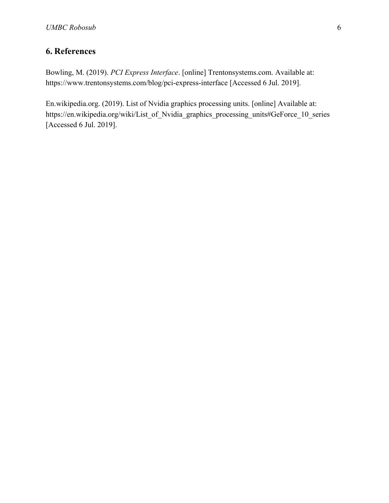## **6. References**

Bowling, M. (2019). *PCI Express Interface*. [online] Trentonsystems.com. Available at: https://www.trentonsystems.com/blog/pci-express-interface [Accessed 6 Jul. 2019].

En.wikipedia.org. (2019). List of Nvidia graphics processing units. [online] Available at: https://en.wikipedia.org/wiki/List\_of\_Nvidia\_graphics\_processing\_units#GeForce\_10\_series [Accessed 6 Jul. 2019].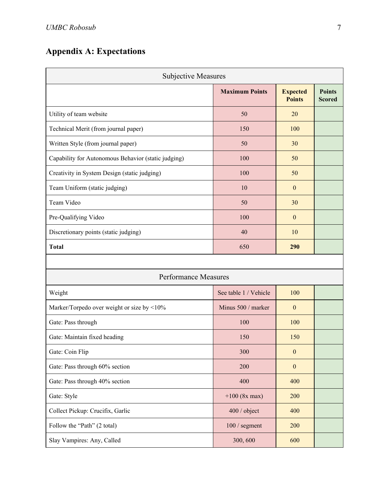# **Appendix A: Expectations**

| <b>Subjective Measures</b>                          |                       |                                  |                                |  |  |
|-----------------------------------------------------|-----------------------|----------------------------------|--------------------------------|--|--|
|                                                     | <b>Maximum Points</b> | <b>Expected</b><br><b>Points</b> | <b>Points</b><br><b>Scored</b> |  |  |
| Utility of team website                             | 50                    | 20                               |                                |  |  |
| Technical Merit (from journal paper)                | 150                   | 100                              |                                |  |  |
| Written Style (from journal paper)                  | 50                    | 30                               |                                |  |  |
| Capability for Autonomous Behavior (static judging) | 100                   | 50                               |                                |  |  |
| Creativity in System Design (static judging)        | 100                   | 50                               |                                |  |  |
| Team Uniform (static judging)                       | 10                    | $\mathbf{0}$                     |                                |  |  |
| Team Video                                          | 50                    | 30                               |                                |  |  |
| Pre-Qualifying Video                                | 100                   | $\mathbf{0}$                     |                                |  |  |
| Discretionary points (static judging)               | 40                    | 10                               |                                |  |  |
| <b>Total</b>                                        | 650                   | 290                              |                                |  |  |
|                                                     |                       |                                  |                                |  |  |
| <b>Performance Measures</b>                         |                       |                                  |                                |  |  |
| Weight                                              | See table 1 / Vehicle | 100                              |                                |  |  |
| Marker/Torpedo over weight or size by <10%          | Minus 500 / marker    | $\boldsymbol{0}$                 |                                |  |  |
| Gate: Pass through                                  | 100                   | 100                              |                                |  |  |
| Gate: Maintain fixed heading                        | 150                   | 150                              |                                |  |  |
| Gate: Coin Flip                                     | 300                   | $\mathbf{0}$                     |                                |  |  |
| Gate: Pass through 60% section                      | 200                   | $\boldsymbol{0}$                 |                                |  |  |
| Gate: Pass through 40% section                      | 400                   | 400                              |                                |  |  |
| Gate: Style                                         | $+100$ (8x max)       | 200                              |                                |  |  |
| Collect Pickup: Crucifix, Garlic                    | 400 / object          | 400                              |                                |  |  |
| Follow the "Path" (2 total)                         | 100 / segment         | 200                              |                                |  |  |
| Slay Vampires: Any, Called                          | 300, 600              | 600                              |                                |  |  |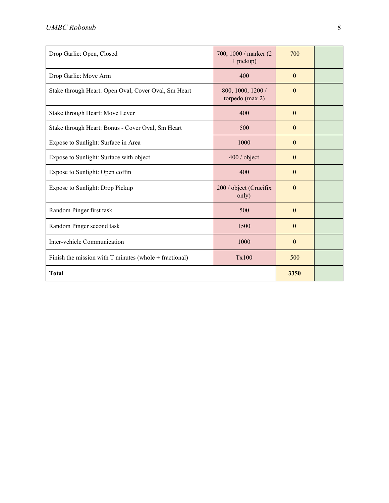| Drop Garlic: Open, Closed                                  | 700, 1000 / marker (2)<br>$+$ pickup) | 700          |  |
|------------------------------------------------------------|---------------------------------------|--------------|--|
| Drop Garlic: Move Arm                                      | 400                                   | $\mathbf{0}$ |  |
| Stake through Heart: Open Oval, Cover Oval, Sm Heart       | 800, 1000, 1200 /<br>torpedo (max 2)  | $\mathbf{0}$ |  |
| Stake through Heart: Move Lever                            | 400                                   | $\mathbf{0}$ |  |
| Stake through Heart: Bonus - Cover Oval, Sm Heart          | 500                                   | $\mathbf{0}$ |  |
| Expose to Sunlight: Surface in Area                        | 1000                                  | $\mathbf{0}$ |  |
| Expose to Sunlight: Surface with object                    | 400 / object                          | $\mathbf{0}$ |  |
| Expose to Sunlight: Open coffin                            | 400                                   | $\mathbf{0}$ |  |
| Expose to Sunlight: Drop Pickup                            | 200 / object (Crucifix<br>only)       | $\mathbf{0}$ |  |
| Random Pinger first task                                   | 500                                   | $\Omega$     |  |
| Random Pinger second task                                  | 1500                                  | $\mathbf{0}$ |  |
| Inter-vehicle Communication                                | 1000                                  | $\mathbf{0}$ |  |
| Finish the mission with $T$ minutes (whole $+$ fractional) | Tx100                                 | 500          |  |
| <b>Total</b>                                               |                                       | 3350         |  |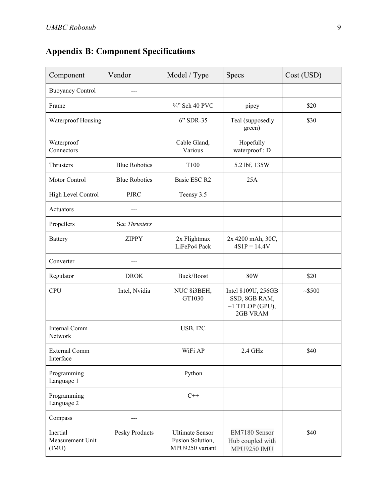|  |  | <b>Appendix B: Component Specifications</b> |
|--|--|---------------------------------------------|
|--|--|---------------------------------------------|

| Component                             | Vendor               | Model / Type                                                  | <b>Specs</b>                                                             | Cost (USD) |
|---------------------------------------|----------------------|---------------------------------------------------------------|--------------------------------------------------------------------------|------------|
| <b>Buoyancy Control</b>               | ---                  |                                                               |                                                                          |            |
| Frame                                 |                      | 3/4" Sch 40 PVC                                               | pipey                                                                    | \$20       |
| Waterproof Housing                    |                      | 6" SDR-35                                                     | Teal (supposedly<br>green)                                               | \$30       |
| Waterproof<br>Connectors              |                      | Cable Gland,<br>Various                                       | Hopefully<br>waterproof: D                                               |            |
| Thrusters                             | <b>Blue Robotics</b> | T100                                                          | 5.2 lbf, 135W                                                            |            |
| Motor Control                         | <b>Blue Robotics</b> | Basic ESC R2                                                  | 25A                                                                      |            |
| High Level Control                    | <b>PJRC</b>          | Teensy 3.5                                                    |                                                                          |            |
| Actuators                             |                      |                                                               |                                                                          |            |
| Propellers                            | See Thrusters        |                                                               |                                                                          |            |
| <b>Battery</b>                        | <b>ZIPPY</b>         | 2x Flightmax<br>LiFePo4 Pack                                  | 2x 4200 mAh, 30C,<br>$4S1P = 14.4V$                                      |            |
| Converter                             |                      |                                                               |                                                                          |            |
| Regulator                             | <b>DROK</b>          | Buck/Boost                                                    | <b>80W</b>                                                               | \$20       |
| <b>CPU</b>                            | Intel, Nvidia        | NUC 8i3BEH,<br>GT1030                                         | Intel 8109U, 256GB<br>SSD, 8GB RAM,<br>$\sim$ 1 TFLOP (GPU),<br>2GB VRAM | ~1500      |
| <b>Internal Comm</b><br>Network       |                      | USB, I2C                                                      |                                                                          |            |
| <b>External Comm</b><br>Interface     |                      | WiFi AP                                                       | 2.4 GHz                                                                  | \$40       |
| Programming<br>Language 1             |                      | Python                                                        |                                                                          |            |
| Programming<br>Language 2             |                      | $C++$                                                         |                                                                          |            |
| Compass                               |                      |                                                               |                                                                          |            |
| Inertial<br>Measurement Unit<br>(IMU) | Pesky Products       | <b>Ultimate Sensor</b><br>Fusion Solution,<br>MPU9250 variant | EM7180 Sensor<br>Hub coupled with<br><b>MPU9250 IMU</b>                  | \$40       |